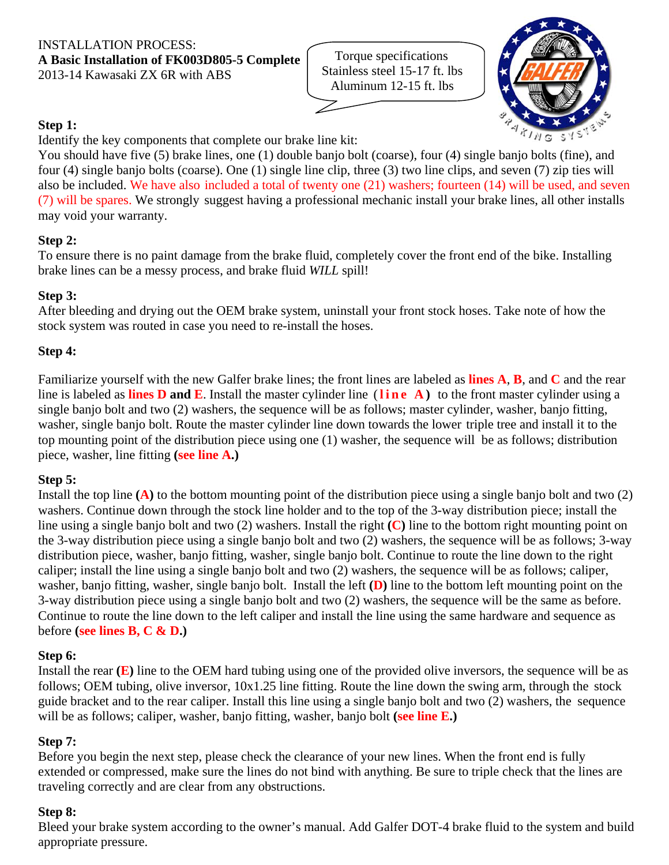#### INSTALLATION PROCESS: **A Basic Installation of FK003D805-5 Complete** 2013-14 Kawasaki ZX 6R with ABS

Torque specifications Stainless steel 15-17 ft. lbs Aluminum 12-15 ft. lbs



# **Step 1:**

Identify the key components that complete our brake line kit:

You should have five (5) brake lines, one (1) double banjo bolt (coarse), four (4) single banjo bolts (fine), and four (4) single banjo bolts (coarse). One (1) single line clip, three (3) two line clips, and seven (7) zip ties will also be included. We have also included a total of twenty one (21) washers; fourteen (14) will be used, and seven (7) will be spares. We strongly suggest having a professional mechanic install your brake lines, all other installs may void your warranty.

# **Step 2:**

To ensure there is no paint damage from the brake fluid, completely cover the front end of the bike. Installing brake lines can be a messy process, and brake fluid *WILL* spill!

### **Step 3:**

After bleeding and drying out the OEM brake system, uninstall your front stock hoses. Take note of how the stock system was routed in case you need to re-install the hoses.

# **Step 4:**

Familiarize yourself with the new Galfer brake lines; the front lines are labeled as **lines A**, **B**, and **C** and the rear line is labeled as **lines D and E**. Install the master cylinder line (**line A )** to the front master cylinder using a single banjo bolt and two (2) washers, the sequence will be as follows; master cylinder, washer, banjo fitting, washer, single banjo bolt. Route the master cylinder line down towards the lower triple tree and install it to the top mounting point of the distribution piece using one (1) washer, the sequence will be as follows; distribution piece, washer, line fitting **(see line A.)**

### **Step 5:**

Install the top line **(A)** to the bottom mounting point of the distribution piece using a single banjo bolt and two (2) washers. Continue down through the stock line holder and to the top of the 3-way distribution piece; install the line using a single banjo bolt and two (2) washers. Install the right **(C)** line to the bottom right mounting point on the 3-way distribution piece using a single banjo bolt and two (2) washers, the sequence will be as follows; 3-way distribution piece, washer, banjo fitting, washer, single banjo bolt. Continue to route the line down to the right caliper; install the line using a single banjo bolt and two (2) washers, the sequence will be as follows; caliper, washer, banjo fitting, washer, single banjo bolt. Install the left **(D)** line to the bottom left mounting point on the 3-way distribution piece using a single banjo bolt and two (2) washers, the sequence will be the same as before. Continue to route the line down to the left caliper and install the line using the same hardware and sequence as before **(see lines B, C & D.)**

### **Step 6:**

Install the rear **(E)** line to the OEM hard tubing using one of the provided olive inversors, the sequence will be as follows; OEM tubing, olive inversor, 10x1.25 line fitting. Route the line down the swing arm, through the stock guide bracket and to the rear caliper. Install this line using a single banjo bolt and two (2) washers, the sequence will be as follows; caliper, washer, banjo fitting, washer, banjo bolt **(see line E.)**

### **Step 7:**

Before you begin the next step, please check the clearance of your new lines. When the front end is fully extended or compressed, make sure the lines do not bind with anything. Be sure to triple check that the lines are traveling correctly and are clear from any obstructions.

### **Step 8:**

Bleed your brake system according to the owner's manual. Add Galfer DOT-4 brake fluid to the system and build appropriate pressure.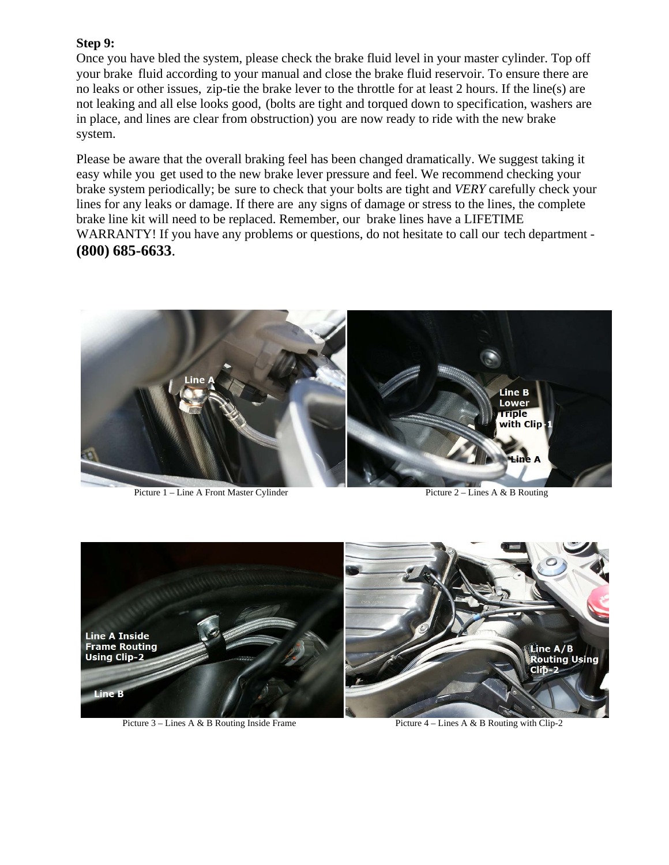#### **Step 9:**

Once you have bled the system, please check the brake fluid level in your master cylinder. Top off your brake fluid according to your manual and close the brake fluid reservoir. To ensure there are no leaks or other issues, zip-tie the brake lever to the throttle for at least 2 hours. If the line(s) are not leaking and all else looks good, (bolts are tight and torqued down to specification, washers are in place, and lines are clear from obstruction) you are now ready to ride with the new brake system.

Please be aware that the overall braking feel has been changed dramatically. We suggest taking it easy while you get used to the new brake lever pressure and feel. We recommend checking your brake system periodically; be sure to check that your bolts are tight and *VERY* carefully check your lines for any leaks or damage. If there are any signs of damage or stress to the lines, the complete brake line kit will need to be replaced. Remember, our brake lines have a LIFETIME WARRANTY! If you have any problems or questions, do not hesitate to call our tech department - **(800) 685-6633**.



Picture 1 – Line A Front Master Cylinder Picture 2 – Lines A & B Routing



Picture 3 – Lines A & B Routing Inside Frame Picture 4 – Lines A & B Routing with Clip-2